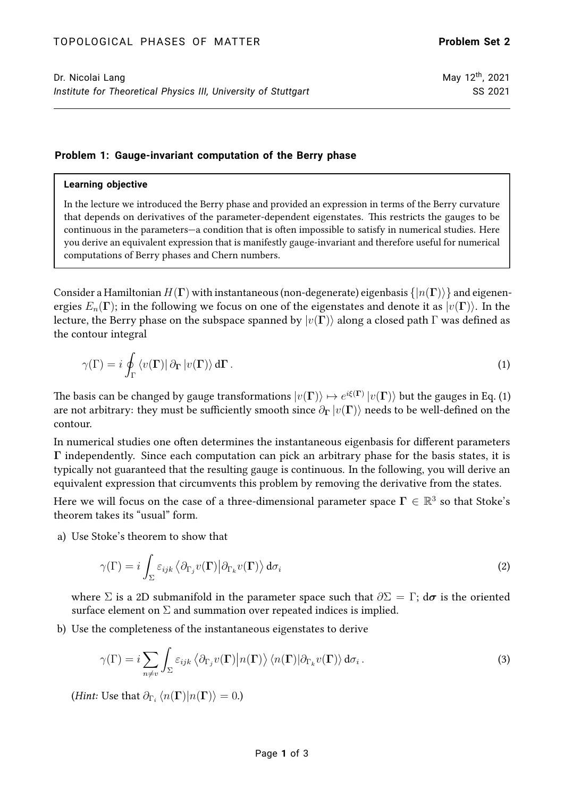## **Problem 1: Gauge-invariant computation of the Berry phase**

## **Learning objective**

In the lecture we introduced the Berry phase and provided an expression in terms of the Berry curvature that depends on derivatives of the parameter-dependent eigenstates. This restricts the gauges to be continuous in the parameters—a condition that is often impossible to satisfy in numerical studies. Here you derive an equivalent expression that is manifestly gauge-invariant and therefore useful for numerical computations of Berry phases and Chern numbers.

Consider a Hamiltonian  $H(\Gamma)$  with instantaneous (non-degenerate) eigenbasis  $\{|n(\Gamma)\rangle\}$  and eigenenergies  $E_n(\Gamma)$ ; in the following we focus on one of the eigenstates and denote it as  $|v(\Gamma)\rangle$ . In the lecture, the Berry phase on the subspace spanned by  $|v(\Gamma)\rangle$  along a closed path  $\Gamma$  was defined as the contour integral

<span id="page-0-0"></span>
$$
\gamma(\Gamma) = i \oint_{\Gamma} \langle v(\Gamma) | \partial_{\Gamma} | v(\Gamma) \rangle d\Gamma.
$$
 (1)

The basis can be changed by gauge transformations  $|v({\Gamma})\rangle\mapsto e^{i\xi({\Gamma})}\,|v({\Gamma})\rangle$  but the gauges in Eq. [\(1\)](#page-0-0) are not arbitrary: they must be sufficiently smooth since  $\partial_{\Gamma} |v(\Gamma)\rangle$  needs to be well-defined on the contour.

In numerical studies one often determines the instantaneous eigenbasis for different parameters Γ independently. Since each computation can pick an arbitrary phase for the basis states, it is typically not guaranteed that the resulting gauge is continuous. In the following, you will derive an equivalent expression that circumvents this problem by removing the derivative from the states.

Here we will focus on the case of a three-dimensional parameter space  $\Gamma \in \mathbb{R}^3$  so that Stoke's theorem takes its "usual" form.

a) Use Stoke's theorem to show that

$$
\gamma(\Gamma) = i \int_{\Sigma} \varepsilon_{ijk} \langle \partial_{\Gamma_j} v(\Gamma) | \partial_{\Gamma_k} v(\Gamma) \rangle d\sigma_i
$$
\n(2)

where  $\Sigma$  is a 2D submanifold in the parameter space such that  $\partial \Sigma = \Gamma$ ;  $d\sigma$  is the oriented surface element on  $\Sigma$  and summation over repeated indices is implied.

b) Use the completeness of the instantaneous eigenstates to derive

$$
\gamma(\Gamma) = i \sum_{n \neq v} \int_{\Sigma} \varepsilon_{ijk} \langle \partial_{\Gamma_j} v(\Gamma) | n(\Gamma) \rangle \langle n(\Gamma) | \partial_{\Gamma_k} v(\Gamma) \rangle d\sigma_i.
$$
\n(3)

(Hint: Use that  $\partial_{\Gamma_i}\braket{n(\mathbf{\Gamma})|n(\mathbf{\Gamma})}=0.$ )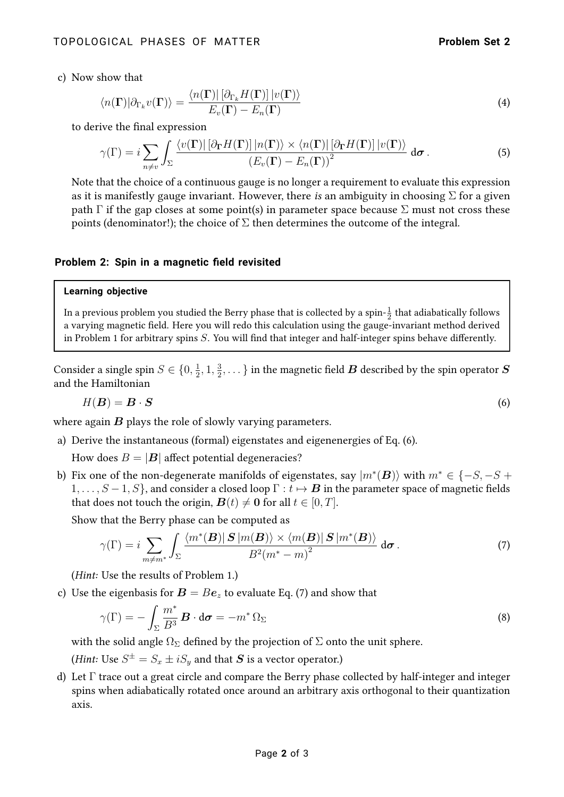c) Now show that

$$
\langle n(\mathbf{\Gamma})|\partial_{\Gamma_k}v(\mathbf{\Gamma})\rangle = \frac{\langle n(\mathbf{\Gamma})| \left[\partial_{\Gamma_k}H(\mathbf{\Gamma})\right]|v(\mathbf{\Gamma})\rangle}{E_v(\mathbf{\Gamma}) - E_n(\mathbf{\Gamma})}
$$
(4)

to derive the final expression

$$
\gamma(\Gamma) = i \sum_{n \neq v} \int_{\Sigma} \frac{\langle v(\mathbf{\Gamma}) | \left[ \partial_{\mathbf{\Gamma}} H(\mathbf{\Gamma}) \right] | n(\mathbf{\Gamma}) \rangle \times \langle n(\mathbf{\Gamma}) | \left[ \partial_{\mathbf{\Gamma}} H(\mathbf{\Gamma}) \right] | v(\mathbf{\Gamma}) \rangle}{\left( E_{v}(\mathbf{\Gamma}) - E_{n}(\mathbf{\Gamma}) \right)^{2}} d\sigma.
$$
 (5)

Note that the choice of a continuous gauge is no longer a requirement to evaluate this expression as it is manifestly gauge invariant. However, there is an ambiguity in choosing  $\Sigma$  for a given path  $\Gamma$  if the gap closes at some point(s) in parameter space because  $\Sigma$  must not cross these points (denominator!); the choice of  $\Sigma$  then determines the outcome of the integral.

### **Problem 2: Spin in a magnetic field revisited**

#### **Learning objective**

In a previous problem you studied the Berry phase that is collected by a spin- $\frac{1}{2}$  that adiabatically follows a varying magnetic field. Here you will redo this calculation using the gauge-invariant method derived in Problem 1 for arbitrary spins  $S$ . You will find that integer and half-integer spins behave differently.

Consider a single spin  $S \in \{0, \frac{1}{2}\}$  $\frac{1}{2}$ , 1,  $\frac{3}{2}$  $\frac{3}{2}, \dots \}$  in the magnetic field  $\boldsymbol{B}$  described by the spin operator  $\boldsymbol{S}$ and the Hamiltonian

<span id="page-1-0"></span>
$$
H(\mathbf{B}) = \mathbf{B} \cdot \mathbf{S} \tag{6}
$$

where again  $B$  plays the role of slowly varying parameters.

a) Derive the instantaneous (formal) eigenstates and eigenenergies of Eq. [\(6\)](#page-1-0).

How does  $B = |B|$  affect potential degeneracies?

b) Fix one of the non-degenerate manifolds of eigenstates, say  $\ket{m^*(\bm{B})}$  with  $m^*\in\{-S,-S+S\}$  $1, \ldots, S-1, S$ , and consider a closed loop  $\Gamma : t \mapsto B$  in the parameter space of magnetic fields that does not touch the origin,  $\mathbf{B}(t) \neq \mathbf{0}$  for all  $t \in [0, T]$ .

Show that the Berry phase can be computed as

<span id="page-1-1"></span>
$$
\gamma(\Gamma) = i \sum_{m \neq m^*} \int_{\Sigma} \frac{\langle m^*(\mathbf{B}) | \mathbf{S} | m(\mathbf{B}) \rangle \times \langle m(\mathbf{B}) | \mathbf{S} | m^*(\mathbf{B}) \rangle}{B^2 (m^* - m)^2} d\sigma.
$$
 (7)

(Hint: Use the results of Problem 1.)

c) Use the eigenbasis for  $B = Be_z$  to evaluate Eq. [\(7\)](#page-1-1) and show that

$$
\gamma(\Gamma) = -\int_{\Sigma} \frac{m^*}{B^3} \mathbf{B} \cdot d\sigma = -m^* \Omega_{\Sigma}
$$
 (8)

with the solid angle  $\Omega_{\Sigma}$  defined by the projection of  $\Sigma$  onto the unit sphere.

*(Hint:* Use  $S^{\pm} = S_x \pm i S_y$  and that  $\boldsymbol{S}$  is a vector operator.)

d) Let Γ trace out a great circle and compare the Berry phase collected by half-integer and integer spins when adiabatically rotated once around an arbitrary axis orthogonal to their quantization axis.